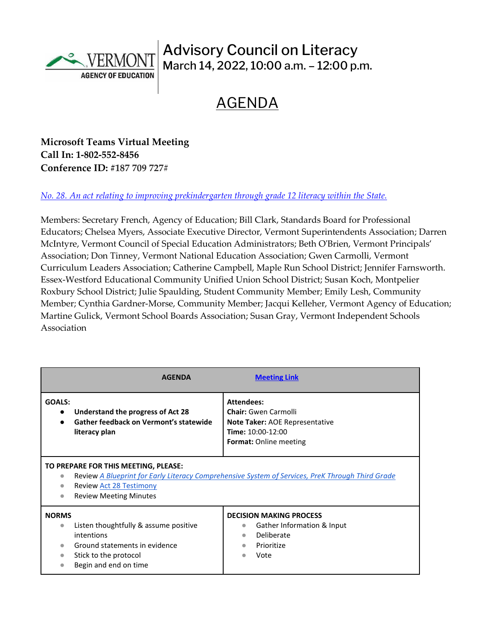

## Advisory Council on Literacy March 14, 2022, 10:00 a.m. – 12:00 p.m.

## AGENDA

**Microsoft Teams Virtual Meeting Call In: [1-802-552-8456](about:blank) Conference ID: #187 709 727#**

## *No. 28. [An act relating to improving prekindergarten through grade 12 literacy within the State.](https://legislature.vermont.gov/Documents/2022/Docs/ACTS/ACT028/ACT028%20As%20Enacted.pdf)*

Members: Secretary French, Agency of Education; Bill Clark, Standards Board for Professional Educators; Chelsea Myers, Associate Executive Director, Vermont Superintendents Association; Darren McIntyre, Vermont Council of Special Education Administrators; Beth O'Brien, Vermont Principals' Association; Don Tinney, Vermont National Education Association; Gwen Carmolli, Vermont Curriculum Leaders Association; Catherine Campbell, Maple Run School District; Jennifer Farnsworth. Essex-Westford Educational Community Unified Union School District; Susan Koch, Montpelier Roxbury School District; Julie Spaulding, Student Community Member; Emily Lesh, Community Member; Cynthia Gardner-Morse, Community Member; Jacqui Kelleher, Vermont Agency of Education; Martine Gulick, Vermont School Boards Association; Susan Gray, Vermont Independent Schools Association

|                                                                                                                                                                                                                                       | <b>AGENDA</b>                                                                                                                          | <b>Meeting Link</b>                                                                                                                      |
|---------------------------------------------------------------------------------------------------------------------------------------------------------------------------------------------------------------------------------------|----------------------------------------------------------------------------------------------------------------------------------------|------------------------------------------------------------------------------------------------------------------------------------------|
| GOALS:<br>$\bullet$                                                                                                                                                                                                                   | Understand the progress of Act 28<br>Gather feedback on Vermont's statewide<br>literacy plan                                           | <b>Attendees:</b><br><b>Chair:</b> Gwen Carmolli<br>Note Taker: AOE Representative<br>Time: 10:00-12:00<br><b>Format:</b> Online meeting |
| TO PREPARE FOR THIS MEETING, PLEASE:<br>Review A Blueprint for Early Literacy Comprehensive System of Services, PreK Through Third Grade<br>$\bullet$<br><b>Review Act 28 Testimony</b><br>$\bullet$<br><b>Review Meeting Minutes</b> |                                                                                                                                        |                                                                                                                                          |
| <b>NORMS</b><br>$\bullet$                                                                                                                                                                                                             | Listen thoughtfully & assume positive<br>intentions<br>Ground statements in evidence<br>Stick to the protocol<br>Begin and end on time | <b>DECISION MAKING PROCESS</b><br>Gather Information & Input<br>$\bullet$<br>Deliberate<br>$\bullet$<br>Prioritize<br>Vote               |